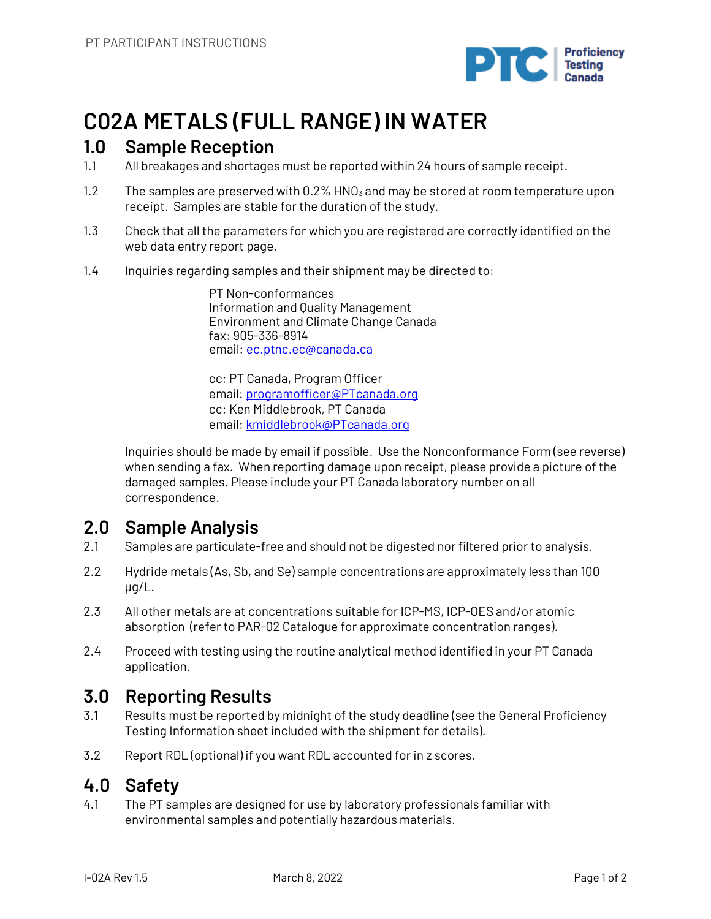

# **C02A METALS (FULL RANGE) IN WATER**

### **1.0 Sample Reception**

- 1.1 All breakages and shortages must be reported within 24 hours of sample receipt.
- 1.2 The samples are preserved with  $0.2\%$  HNO<sub>3</sub> and may be stored at room temperature upon receipt. Samples are stable for the duration of the study.
- 1.3 Check that all the parameters for which you are registered are correctly identified on the web data entry report page.
- 1.4 Inquiries regarding samples and their shipment may be directed to:

PT Non-conformances Information and Quality Management Environment and Climate Change Canada fax: 905-336-8914 email: ec.ptnc.ec@canada.ca

cc: PT Canada, Program Officer email: programofficer@PTcanada.org cc: Ken Middlebrook, PT Canada email: kmiddlebrook@PTcanada.org

Inquiries should be made by email if possible. Use the Nonconformance Form (see reverse) when sending a fax. When reporting damage upon receipt, please provide a picture of the damaged samples. Please include your PT Canada laboratory number on all correspondence.

## **2.0 Sample Analysis**

- 2.1 Samples are particulate-free and should not be digested nor filtered prior to analysis.
- 2.2 Hydride metals (As, Sb, and Se) sample concentrations are approximately less than 100 µg/L.
- 2.3 All other metals are at concentrations suitable for ICP-MS, ICP-OES and/or atomic absorption (refer to PAR-02 Catalogue for approximate concentration ranges).
- 2.4 Proceed with testing using the routine analytical method identified in your PT Canada application.

## **3.0 Reporting Results**

- 3.1 Results must be reported by midnight of the study deadline (see the General Proficiency Testing Information sheet included with the shipment for details).
- 3.2 Report RDL (optional) if you want RDL accounted for in z scores.

### **4.0 Safety**

4.1 The PT samples are designed for use by laboratory professionals familiar with environmental samples and potentially hazardous materials.